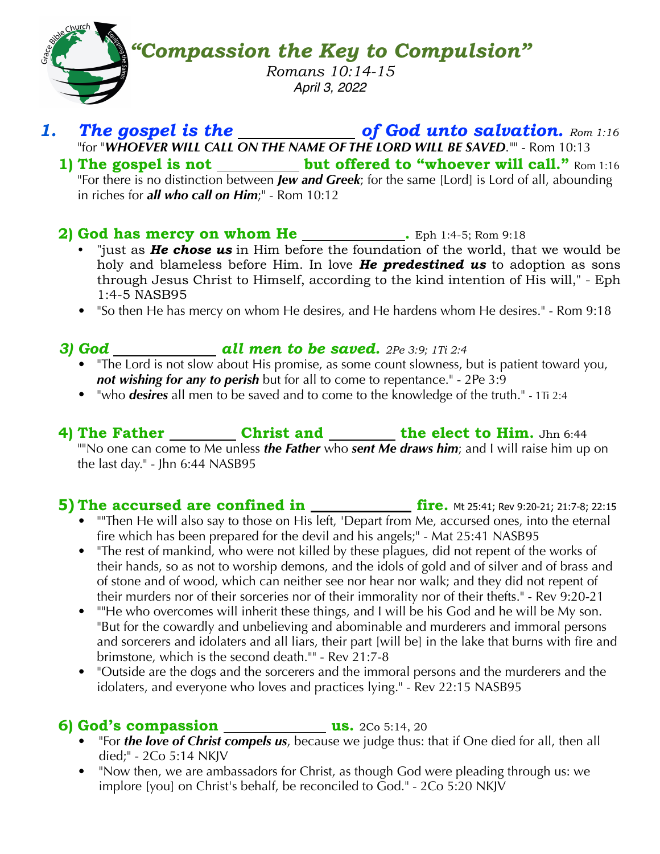*"Compassion the Key to Compulsion" Romans 10:14-15 April 3, 2022*

### **1. The gospel is the <u>section</u> is the set of God unto salvation.** Rom 1:16 "for "*WHOEVER WILL CALL ON THE NAME OF THE LORD WILL BE SAVED*."" - Rom 10:13

**1)** The gospel is not \_\_\_\_\_\_\_\_\_ but offered to "whoever will call." Rom 1:16 "For there is no distinction between *Jew and Greek*; for the same [Lord] is Lord of all, abounding in riches for *all who call on Him*;" - Rom 10:12

#### 2) God has mercy on whom He \_\_\_\_\_\_\_\_\_\_\_. Eph 1:4-5; Rom 9:18

- "just as *He chose us* in Him before the foundation of the world, that we would be holy and blameless before Him. In love *He predestined us* to adoption as sons through Jesus Christ to Himself, according to the kind intention of His will," - Eph 1:4-5 NASB95
- "So then He has mercy on whom He desires, and He hardens whom He desires." Rom 9:18

## *3) God all men to be saved. 2Pe 3:9; 1Ti 2:4*

- "The Lord is not slow about His promise, as some count slowness, but is patient toward you, *not wishing for any to perish* but for all to come to repentance." - 2Pe 3:9
- "who *desires* all men to be saved and to come to the knowledge of the truth." 1Ti 2:4

**4)** The Father **Christ and** the elect to Him. Jhn 6:44 ""No one can come to Me unless *the Father* who *sent Me draws him*; and I will raise him up on the last day." - Jhn 6:44 NASB95

#### **5)** The accursed are confined in \_\_\_\_\_\_\_\_\_\_\_\_ fire. Mt 25:41; Rev 9:20-21; 21:7-8; 22:15

- If Then He will also say to those on His left, 'Depart from Me, accursed ones, into the eternal fire which has been prepared for the devil and his angels;" - Mat 25:41 NASB95
- "The rest of mankind, who were not killed by these plagues, did not repent of the works of their hands, so as not to worship demons, and the idols of gold and of silver and of brass and of stone and of wood, which can neither see nor hear nor walk; and they did not repent of their murders nor of their sorceries nor of their immorality nor of their thefts." - Rev 9:20-21
- "He who overcomes will inherit these things, and I will be his God and he will be My son. "But for the cowardly and unbelieving and abominable and murderers and immoral persons and sorcerers and idolaters and all liars, their part [will be] in the lake that burns with fire and brimstone, which is the second death."" - Rev 21:7-8
- "Outside are the dogs and the sorcerers and the immoral persons and the murderers and the idolaters, and everyone who loves and practices lying." - Rev 22:15 NASB95

### **6)** God's compassion \_\_\_\_\_\_\_\_\_\_\_\_\_\_\_\_\_\_\_us. 2Co 5:14, 20

- 
- "For *the love of Christ compels us*, because we judge thus: that if One died for all, then all died;" - 2Co 5:14 NKJV
- "Now then, we are ambassadors for Christ, as though God were pleading through us: we implore [you] on Christ's behalf, be reconciled to  $\text{God.}^{\text{II}}$  - 2Co 5:20 NKJV